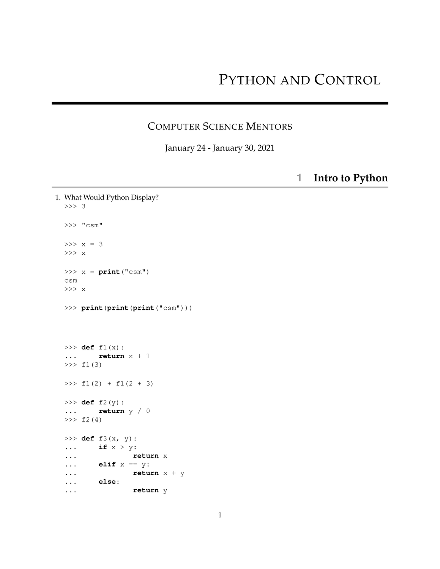## PYTHON AND CONTROL

## COMPUTER SCIENCE MENTORS

January 24 - January 30, 2021

**1 Intro to Python**

```
1. What Would Python Display?
 >>> 3
 >>> "csm"
 >>x = 3>>> x
 >>> x = print("csm")
 csm
 >>> x
 >>> print(print(print("csm")))
 >>> def f1(x):
  ... return x + 1
 >> f1(3)
 >>> f1(2) + f1(2 + 3)>>> def f2(y):
  ... return y / 0
 >> f2(4)
 >>> def f3(x, y):
  ... if x > y:
  ... return x
 ... elif x == y:
  ... return x + y
 ... else:
  ... return y
```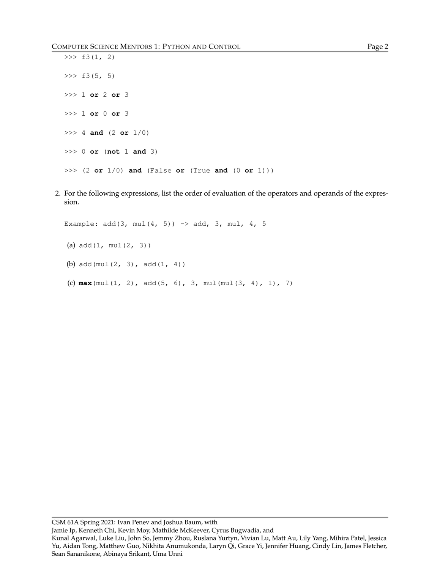```
\gg f3(1, 2)
>> f3(5, 5)
>>> 1 or 2 or 3
>>> 1 or 0 or 3
>>> 4 and (2 or 1/0)
>>> 0 or (not 1 and 3)
>>> (2 or 1/0) and (False or (True and (0 or 1)))
```
2. For the following expressions, list the order of evaluation of the operators and operands of the expression.

Example:  $add(3, mul(4, 5)) \rightarrow add, 3, mul, 4, 5$ (a) add(1, mul(2, 3)) (b) add(mul(2, 3), add(1, 4)) (c) **max**(mul(1, 2), add(5, 6), 3, mul(mul(3, 4), 1), 7)

CSM 61A Spring 2021: Ivan Penev and Joshua Baum, with Jamie Ip, Kenneth Chi, Kevin Moy, Mathilde McKeever, Cyrus Bugwadia, and Kunal Agarwal, Luke Liu, John So, Jemmy Zhou, Ruslana Yurtyn, Vivian Lu, Matt Au, Lily Yang, Mihira Patel, Jessica Yu, Aidan Tong, Matthew Guo, Nikhita Anumukonda, Laryn Qi, Grace Yi, Jennifer Huang, Cindy Lin, James Fletcher, Sean Sananikone, Abinaya Srikant, Uma Unni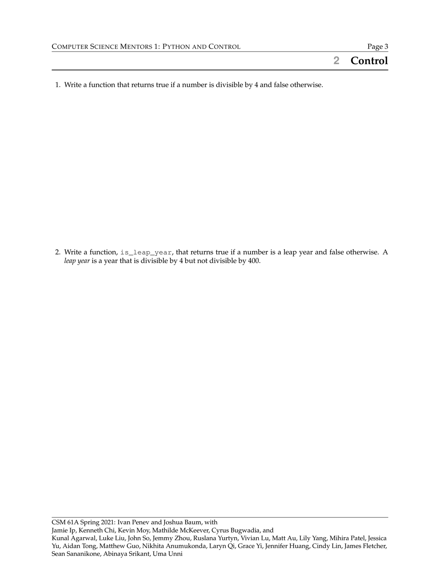1. Write a function that returns true if a number is divisible by 4 and false otherwise.

2. Write a function, is\_leap\_year, that returns true if a number is a leap year and false otherwise. A *leap year* is a year that is divisible by 4 but not divisible by 400.